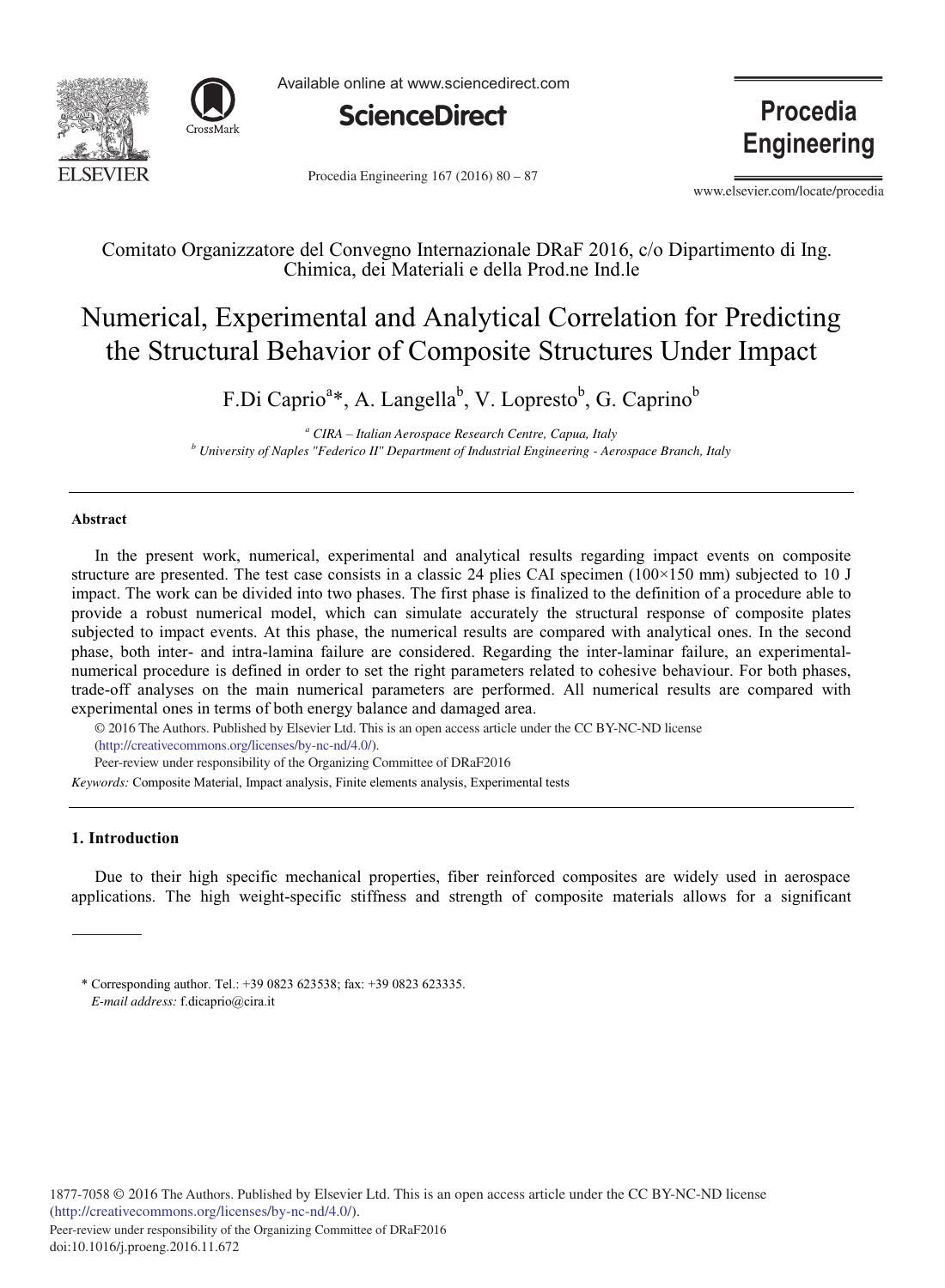



Available online at www.sciencedirect.com



Procedia Engineering  $167 (2016) 80 - 87$ 

**Procedia Engineering** 

www.elsevier.com/locate/procedia

Comitato Organizzatore del Convegno Internazionale DRaF 2016, c/o Dipartimento di Ing. Chimica, dei Materiali e della Prod.ne Ind.le

# Numerical, Experimental and Analytical Correlation for Predicting the Structural Behavior of Composite Structures Under Impact

F.Di Caprio<sup>a</sup>\*, A. Langella<sup>b</sup>, V. Lopresto<sup>b</sup>, G. Caprino<sup>b</sup>

*<sup>a</sup> CIRA – Italian Aerospace Research Centre, Capua, Italy <sup>b</sup> University of Naples "Federico II" Department of Industrial Engineering - Aerospace Branch, Italy*

## **Abstract**

In the present work, numerical, experimental and analytical results regarding impact events on composite structure are presented. The test case consists in a classic 24 plies CAI specimen (100×150 mm) subjected to 10 J impact. The work can be divided into two phases. The first phase is finalized to the definition of a procedure able to provide a robust numerical model, which can simulate accurately the structural response of composite plates subjected to impact events. At this phase, the numerical results are compared with analytical ones. In the second phase, both inter- and intra-lamina failure are considered. Regarding the inter-laminar failure, an experimentalnumerical procedure is defined in order to set the right parameters related to cohesive behaviour. For both phases, trade-off analyses on the main numerical parameters are performed. All numerical results are compared with experimental ones in terms of both energy balance and damaged area.

© 2016 The Authors. Published by Elsevier Ltd. © 2016 The Authors. Published by Elsevier Ltd. This is an open access article under the CC BY-NC-ND license (http://creativecommons.org/licenses/by-nc-nd/4.0/). Peer-review under responsibility of the Organizing Committee of DRaF2016

*Keywords:* Composite Material, Impact analysis, Finite elements analysis, Experimental tests

# **1. Introduction**

Due to their high specific mechanical properties, fiber reinforced composites are widely used in aerospace applications. The high weight-specific stiffness and strength of composite materials allows for a significant

<sup>\*</sup> Corresponding author. Tel.: +39 0823 623538; fax: +39 0823 623335. *E-mail address:* f.dicaprio@cira.it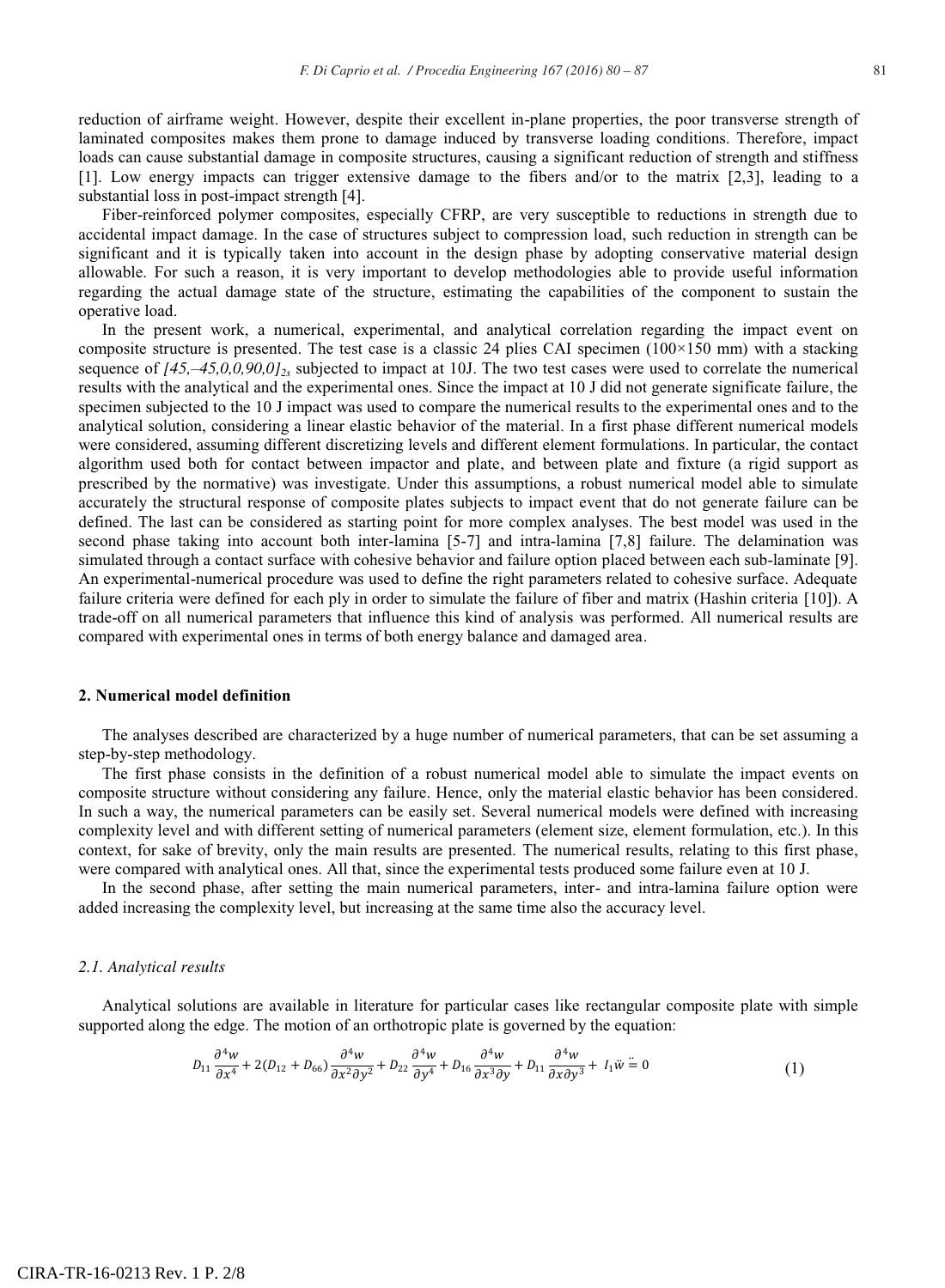reduction of airframe weight. However, despite their excellent in-plane properties, the poor transverse strength of laminated composites makes them prone to damage induced by transverse loading conditions. Therefore, impact loads can cause substantial damage in composite structures, causing a significant reduction of strength and stiffness [1]. Low energy impacts can trigger extensive damage to the fibers and/or to the matrix [2,3], leading to a substantial loss in post-impact strength [4].

Fiber-reinforced polymer composites, especially CFRP, are very susceptible to reductions in strength due to accidental impact damage. In the case of structures subject to compression load, such reduction in strength can be significant and it is typically taken into account in the design phase by adopting conservative material design allowable. For such a reason, it is very important to develop methodologies able to provide useful information regarding the actual damage state of the structure, estimating the capabilities of the component to sustain the operative load.

In the present work, a numerical, experimental, and analytical correlation regarding the impact event on composite structure is presented. The test case is a classic 24 plies CAI specimen  $(100\times150 \text{ mm})$  with a stacking sequence of  $[45, -45, 0, 0, 90, 0]$ <sub>2s</sub> subjected to impact at 10J. The two test cases were used to correlate the numerical results with the analytical and the experimental ones. Since the impact at 10 J did not generate significate failure, the specimen subjected to the 10 J impact was used to compare the numerical results to the experimental ones and to the analytical solution, considering a linear elastic behavior of the material. In a first phase different numerical models were considered, assuming different discretizing levels and different element formulations. In particular, the contact algorithm used both for contact between impactor and plate, and between plate and fixture (a rigid support as prescribed by the normative) was investigate. Under this assumptions, a robust numerical model able to simulate accurately the structural response of composite plates subjects to impact event that do not generate failure can be defined. The last can be considered as starting point for more complex analyses. The best model was used in the second phase taking into account both inter-lamina [5-7] and intra-lamina [7,8] failure. The delamination was simulated through a contact surface with cohesive behavior and failure option placed between each sub-laminate [9]. An experimental-numerical procedure was used to define the right parameters related to cohesive surface. Adequate failure criteria were defined for each ply in order to simulate the failure of fiber and matrix (Hashin criteria [10]). A trade-off on all numerical parameters that influence this kind of analysis was performed. All numerical results are compared with experimental ones in terms of both energy balance and damaged area.

### **2. Numerical model definition**

The analyses described are characterized by a huge number of numerical parameters, that can be set assuming a step-by-step methodology.

The first phase consists in the definition of a robust numerical model able to simulate the impact events on composite structure without considering any failure. Hence, only the material elastic behavior has been considered. In such a way, the numerical parameters can be easily set. Several numerical models were defined with increasing complexity level and with different setting of numerical parameters (element size, element formulation, etc.). In this context, for sake of brevity, only the main results are presented. The numerical results, relating to this first phase, were compared with analytical ones. All that, since the experimental tests produced some failure even at 10 J.

In the second phase, after setting the main numerical parameters, inter- and intra-lamina failure option were added increasing the complexity level, but increasing at the same time also the accuracy level.

## *2.1. Analytical results*

Analytical solutions are available in literature for particular cases like rectangular composite plate with simple supported along the edge. The motion of an orthotropic plate is governed by the equation:

$$
D_{11}\frac{\partial^4 w}{\partial x^4} + 2(D_{12} + D_{66})\frac{\partial^4 w}{\partial x^2 \partial y^2} + D_{22}\frac{\partial^4 w}{\partial y^4} + D_{16}\frac{\partial^4 w}{\partial x^3 \partial y} + D_{11}\frac{\partial^4 w}{\partial x \partial y^3} + I_1 \ddot{w} = 0
$$
\n(1)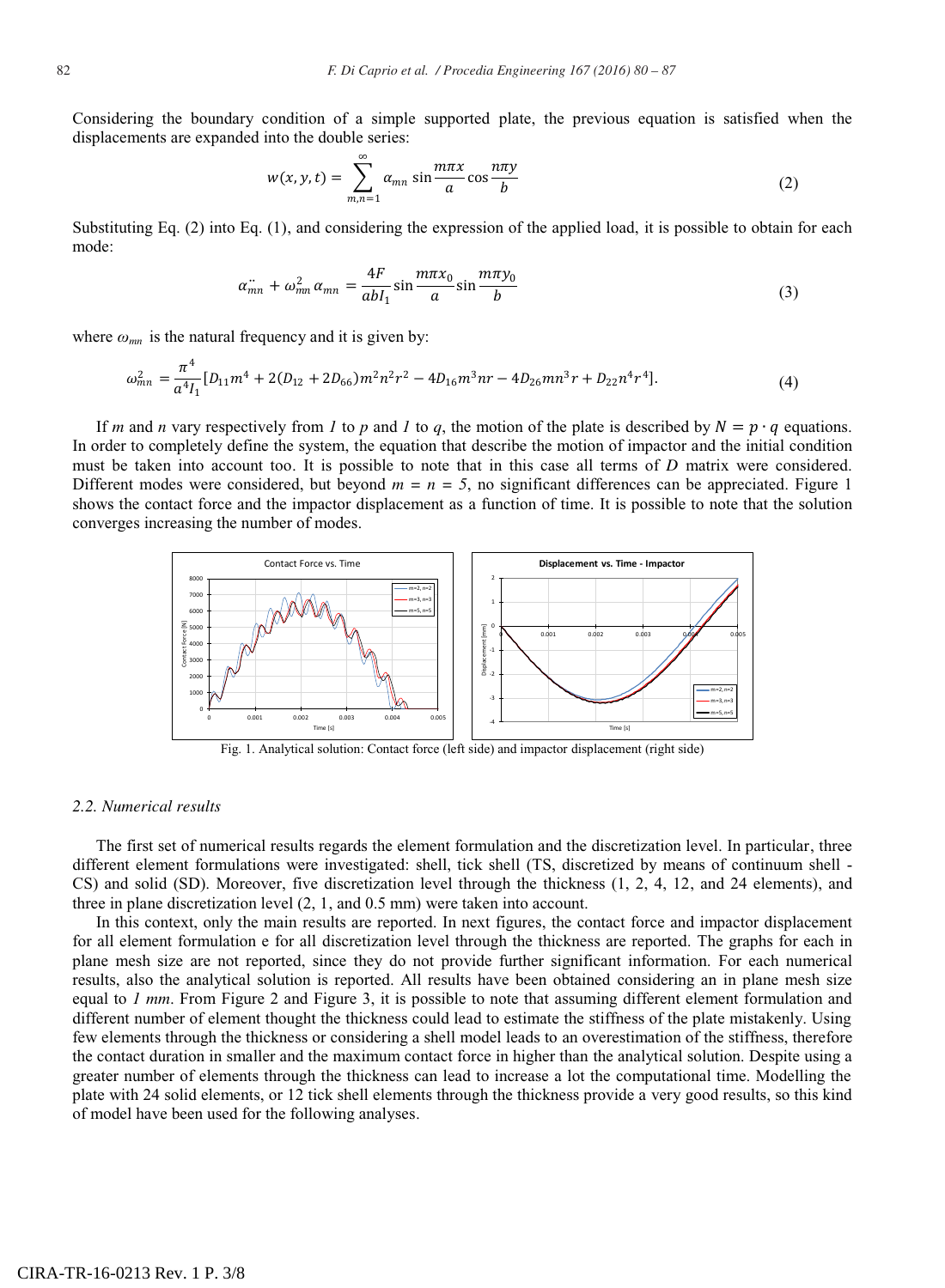Considering the boundary condition of a simple supported plate, the previous equation is satisfied when the displacements are expanded into the double series:

$$
w(x, y, t) = \sum_{m,n=1}^{\infty} \alpha_{mn} \sin \frac{m\pi x}{a} \cos \frac{n\pi y}{b}
$$
 (2)

Substituting Eq. (2) into Eq. (1), and considering the expression of the applied load, it is possible to obtain for each mode:

$$
\alpha_{mn}^{\cdot \cdot} + \omega_{mn}^2 \alpha_{mn} = \frac{4F}{abI_1} \sin \frac{m\pi x_0}{a} \sin \frac{m\pi y_0}{b}
$$
\n<sup>(3)</sup>

where  $\omega_{mn}$  is the natural frequency and it is given by:

$$
\omega_{mn}^2 = \frac{\pi^4}{a^4 I_1} [D_{11} m^4 + 2(D_{12} + 2D_{66}) m^2 n^2 r^2 - 4D_{16} m^3 n r - 4D_{26} m n^3 r + D_{22} n^4 r^4].
$$
\n(4)

If *m* and *n* vary respectively from *1* to *p* and *1* to *q*, the motion of the plate is described by  $N = p \cdot q$  equations. In order to completely define the system, the equation that describe the motion of impactor and the initial condition must be taken into account too. It is possible to note that in this case all terms of *D* matrix were considered. Different modes were considered, but beyond  $m = n = 5$ , no significant differences can be appreciated. Figure 1 shows the contact force and the impactor displacement as a function of time. It is possible to note that the solution converges increasing the number of modes.



Fig. 1. Analytical solution: Contact force (left side) and impactor displacement (right side)

### *2.2. Numerical results*

The first set of numerical results regards the element formulation and the discretization level. In particular, three different element formulations were investigated: shell, tick shell (TS, discretized by means of continuum shell - CS) and solid (SD). Moreover, five discretization level through the thickness (1, 2, 4, 12, and 24 elements), and three in plane discretization level (2, 1, and 0.5 mm) were taken into account.

In this context, only the main results are reported. In next figures, the contact force and impactor displacement for all element formulation e for all discretization level through the thickness are reported. The graphs for each in plane mesh size are not reported, since they do not provide further significant information. For each numerical results, also the analytical solution is reported. All results have been obtained considering an in plane mesh size equal to *1 mm*. From Figure 2 and Figure 3, it is possible to note that assuming different element formulation and different number of element thought the thickness could lead to estimate the stiffness of the plate mistakenly. Using few elements through the thickness or considering a shell model leads to an overestimation of the stiffness, therefore the contact duration in smaller and the maximum contact force in higher than the analytical solution. Despite using a greater number of elements through the thickness can lead to increase a lot the computational time. Modelling the plate with 24 solid elements, or 12 tick shell elements through the thickness provide a very good results, so this kind of model have been used for the following analyses.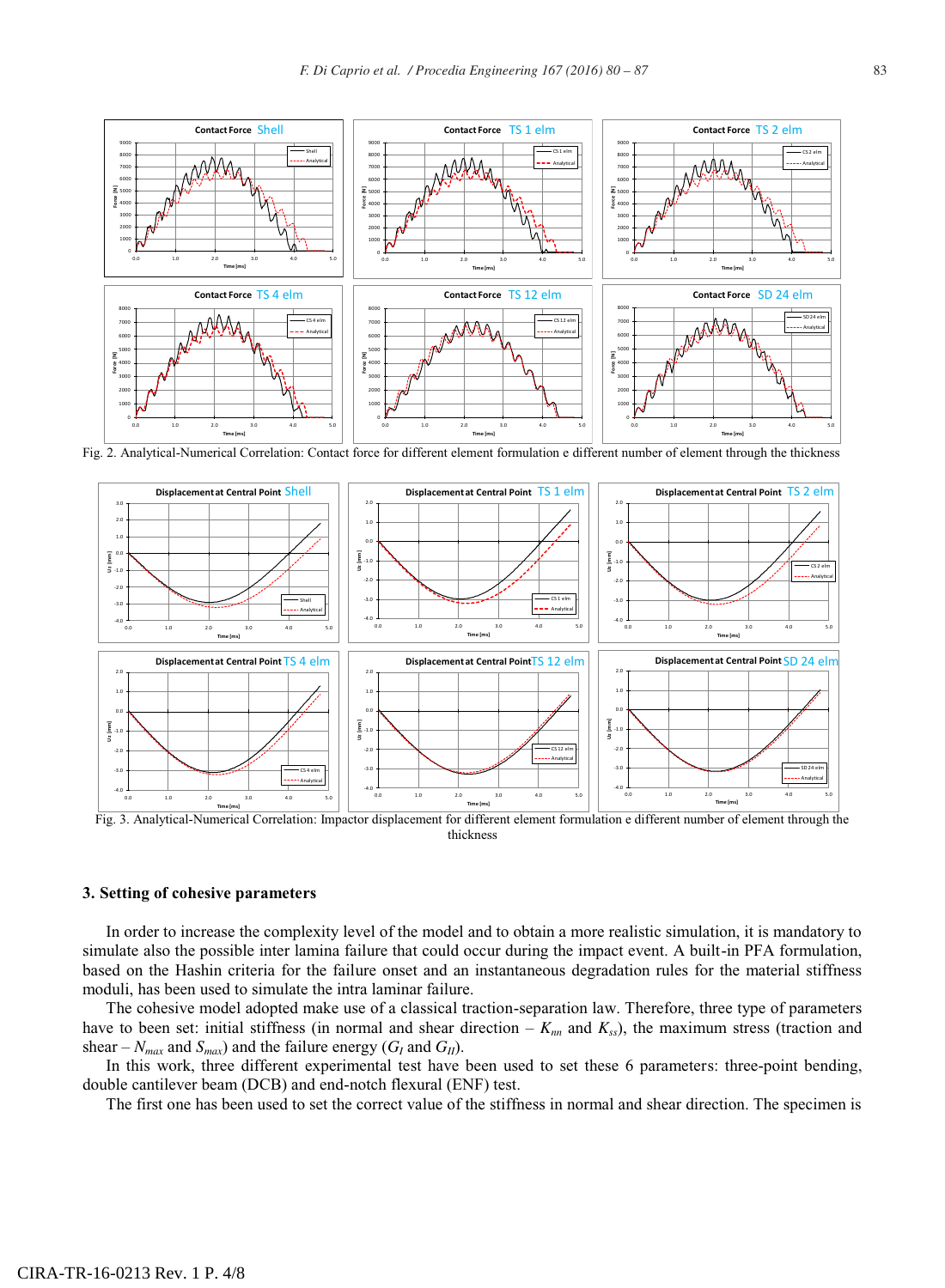

Fig. 2. Analytical-Numerical Correlation: Contact force for different element formulation e different number of element through the thickness



Fig. 3. Analytical-Numerical Correlation: Impactor displacement for different element formulation e different number of element through the thickness

#### **3. Setting of cohesive parameters**

In order to increase the complexity level of the model and to obtain a more realistic simulation, it is mandatory to simulate also the possible inter lamina failure that could occur during the impact event. A built-in PFA formulation, based on the Hashin criteria for the failure onset and an instantaneous degradation rules for the material stiffness moduli, has been used to simulate the intra laminar failure.

The cohesive model adopted make use of a classical traction-separation law. Therefore, three type of parameters have to been set: initial stiffness (in normal and shear direction  $-K_{nn}$  and  $K_{ss}$ ), the maximum stress (traction and shear –  $N_{max}$  and  $S_{max}$ ) and the failure energy ( $G_I$  and  $G_{II}$ ).

In this work, three different experimental test have been used to set these 6 parameters: three-point bending, double cantilever beam (DCB) and end-notch flexural (ENF) test.

The first one has been used to set the correct value of the stiffness in normal and shear direction. The specimen is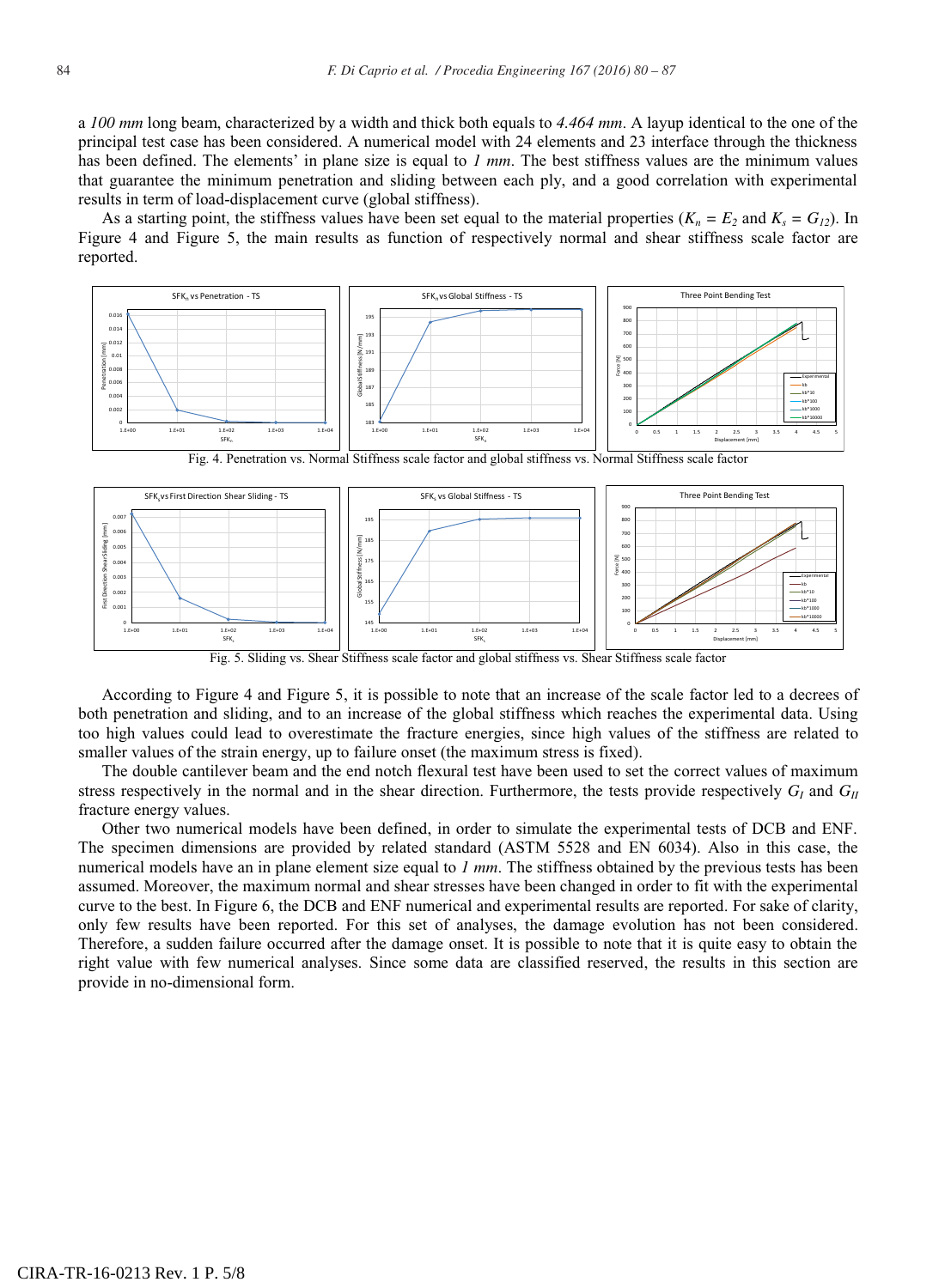a *100 mm* long beam, characterized by a width and thick both equals to *4.464 mm*. A layup identical to the one of the principal test case has been considered. A numerical model with 24 elements and 23 interface through the thickness has been defined. The elements' in plane size is equal to *1 mm*. The best stiffness values are the minimum values that guarantee the minimum penetration and sliding between each ply, and a good correlation with experimental results in term of load-displacement curve (global stiffness).

As a starting point, the stiffness values have been set equal to the material properties  $(K_n = E_2 \text{ and } K_s = G_{12})$ . In Figure 4 and Figure 5, the main results as function of respectively normal and shear stiffness scale factor are reported.



Fig. 4. Penetration vs. Normal Stiffness scale factor and global stiffness vs. Normal Stiffness scale factor



Fig. 5. Sliding vs. Shear Stiffness scale factor and global stiffness vs. Shear Stiffness scale factor

According to Figure 4 and Figure 5, it is possible to note that an increase of the scale factor led to a decrees of both penetration and sliding, and to an increase of the global stiffness which reaches the experimental data. Using too high values could lead to overestimate the fracture energies, since high values of the stiffness are related to smaller values of the strain energy, up to failure onset (the maximum stress is fixed).

The double cantilever beam and the end notch flexural test have been used to set the correct values of maximum stress respectively in the normal and in the shear direction. Furthermore, the tests provide respectively  $G_I$  and  $G_{II}$ fracture energy values.

Other two numerical models have been defined, in order to simulate the experimental tests of DCB and ENF. The specimen dimensions are provided by related standard (ASTM 5528 and EN 6034). Also in this case, the numerical models have an in plane element size equal to *1 mm*. The stiffness obtained by the previous tests has been assumed. Moreover, the maximum normal and shear stresses have been changed in order to fit with the experimental curve to the best. In Figure 6, the DCB and ENF numerical and experimental results are reported. For sake of clarity, only few results have been reported. For this set of analyses, the damage evolution has not been considered. Therefore, a sudden failure occurred after the damage onset. It is possible to note that it is quite easy to obtain the right value with few numerical analyses. Since some data are classified reserved, the results in this section are provide in no-dimensional form.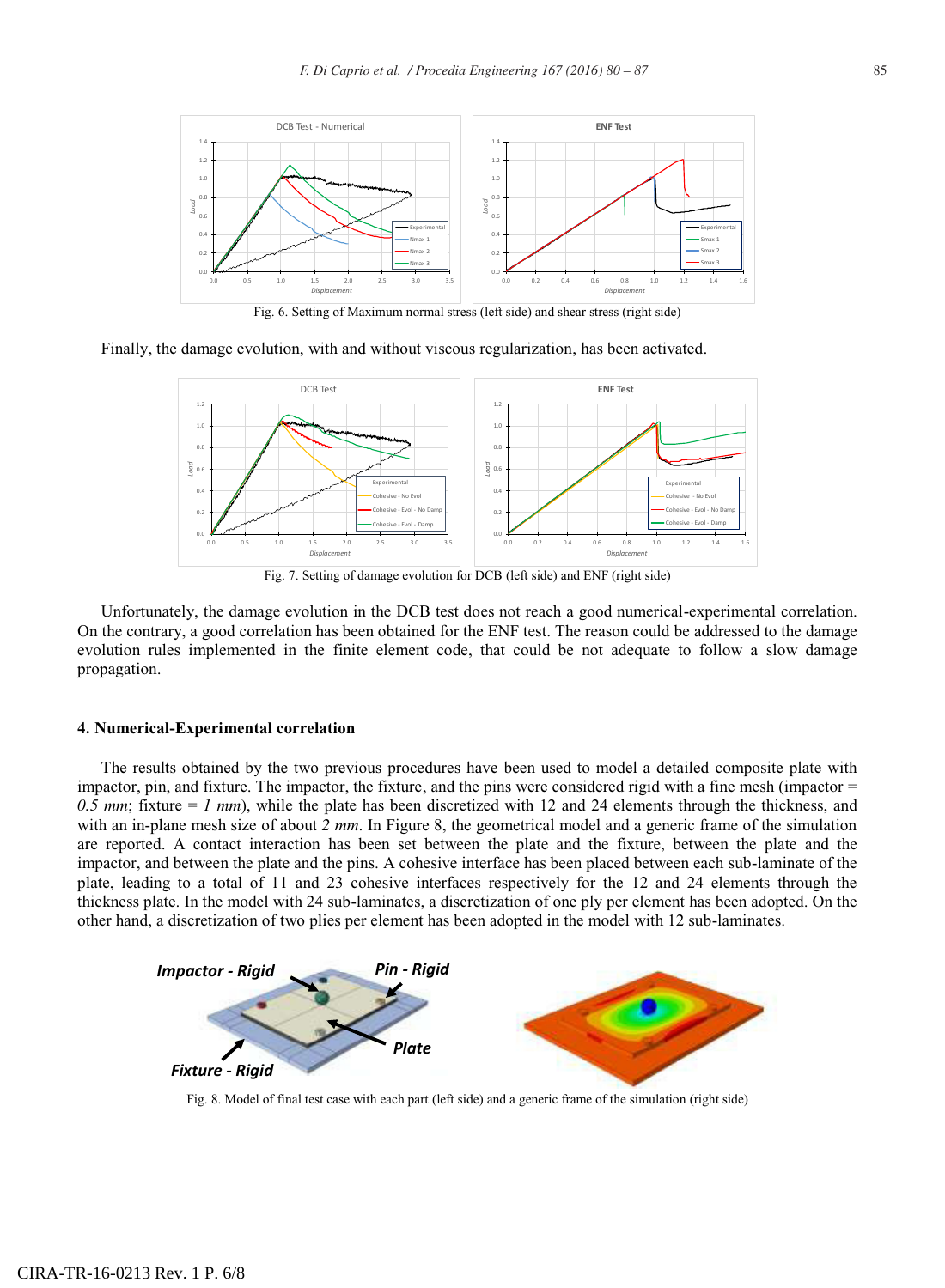

Fig. 6. Setting of Maximum normal stress (left side) and shear stress (right side)

Finally, the damage evolution, with and without viscous regularization, has been activated.



Fig. 7. Setting of damage evolution for DCB (left side) and ENF (right side)

Unfortunately, the damage evolution in the DCB test does not reach a good numerical-experimental correlation. On the contrary, a good correlation has been obtained for the ENF test. The reason could be addressed to the damage evolution rules implemented in the finite element code, that could be not adequate to follow a slow damage propagation.

#### **4. Numerical-Experimental correlation**

The results obtained by the two previous procedures have been used to model a detailed composite plate with impactor, pin, and fixture. The impactor, the fixture, and the pins were considered rigid with a fine mesh (impactor = *0.5 mm*; fixture = *1 mm*), while the plate has been discretized with 12 and 24 elements through the thickness, and with an in-plane mesh size of about 2 mm. In Figure 8, the geometrical model and a generic frame of the simulation are reported. A contact interaction has been set between the plate and the fixture, between the plate and the impactor, and between the plate and the pins. A cohesive interface has been placed between each sub-laminate of the plate, leading to a total of 11 and 23 cohesive interfaces respectively for the 12 and 24 elements through the thickness plate. In the model with 24 sub-laminates, a discretization of one ply per element has been adopted. On the other hand, a discretization of two plies per element has been adopted in the model with 12 sub-laminates.



Fig. 8. Model of final test case with each part (left side) and a generic frame of the simulation (right side)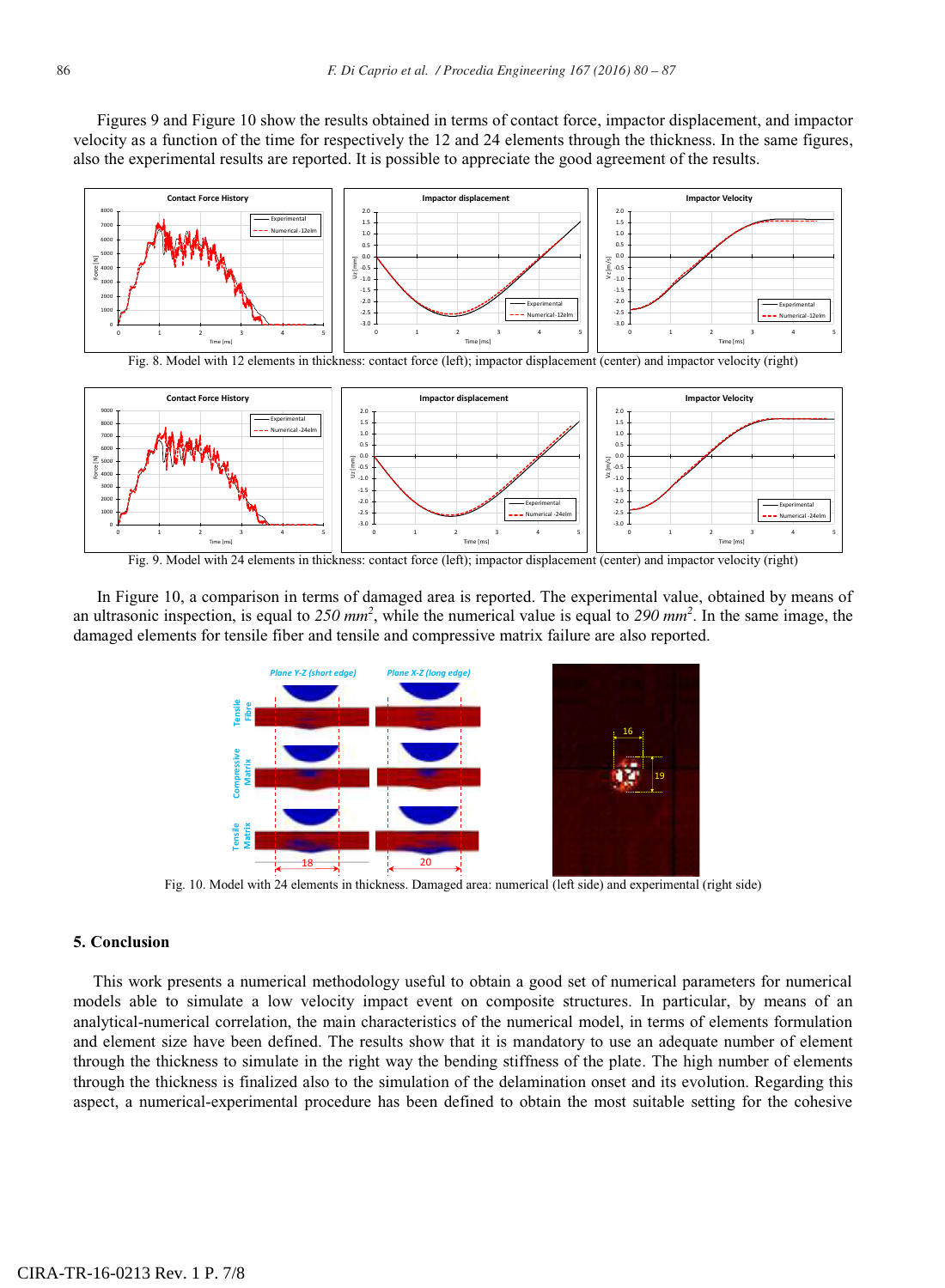Figures 9 and Figure 10 show the results obtained in terms of contact force, impactor displacement, and impactor velocity as a function of the time for respectively the 12 and 24 elements through the thickness. In the same figures, also the experimental results are reported. It is possible to appreciate the good agreement of the results.





In Figure 10, a comparison in terms of damaged area is reported. The experimental value, obtained by means of an ultrasonic inspection, is equal to *250 mm<sup>2</sup>* , while the numerical value is equal to *290 mm<sup>2</sup>* . In the same image, the damaged elements for tensile fiber and tensile and compressive matrix failure are also reported.



## **5. Conclusion**

This work presents a numerical methodology useful to obtain a good set of numerical parameters for numerical models able to simulate a low velocity impact event on composite structures. In particular, by means of an analytical-numerical correlation, the main characteristics of the numerical model, in terms of elements formulation and element size have been defined. The results show that it is mandatory to use an adequate number of element through the thickness to simulate in the right way the bending stiffness of the plate. The high number of elements through the thickness is finalized also to the simulation of the delamination onset and its evolution. Regarding this aspect, a numerical-experimental procedure has been defined to obtain the most suitable setting for the cohesive